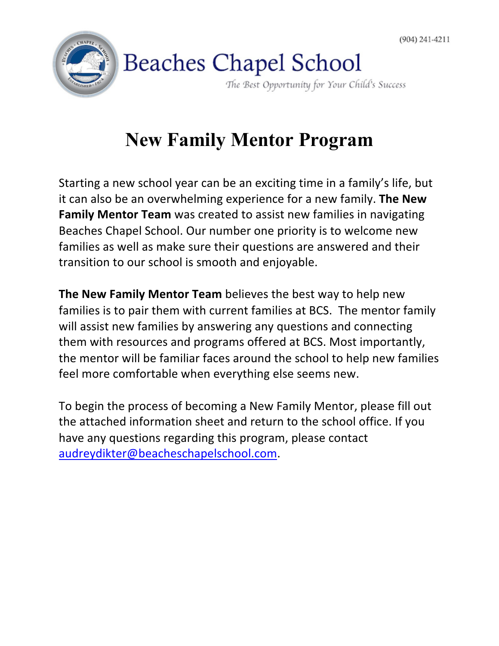

## **New Family Mentor Program**

Starting a new school year can be an exciting time in a family's life, but it can also be an overwhelming experience for a new family. The New **Family Mentor Team** was created to assist new families in navigating Beaches Chapel School. Our number one priority is to welcome new families as well as make sure their questions are answered and their transition to our school is smooth and enjoyable.

**The New Family Mentor Team** believes the best way to help new families is to pair them with current families at BCS. The mentor family will assist new families by answering any questions and connecting them with resources and programs offered at BCS. Most importantly, the mentor will be familiar faces around the school to help new families feel more comfortable when everything else seems new.

To begin the process of becoming a New Family Mentor, please fill out the attached information sheet and return to the school office. If you have any questions regarding this program, please contact audreydikter@beacheschapelschool.com.